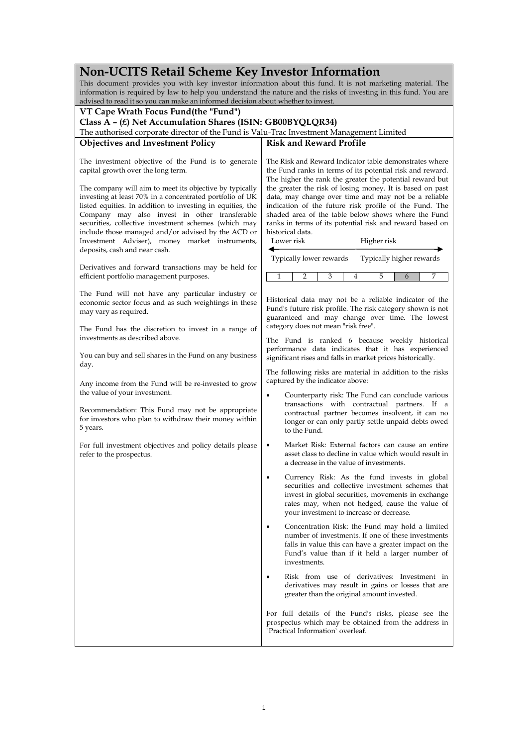## **Non-UCITS Retail Scheme Key Investor Information** This document provides you with key investor information about this fund. It is not marketing material. The information is required by law to help you understand the nature and the risks of investing in this fund. You are advised to read it so you can make an informed decision about whether to invest. **VT Cape Wrath Focus Fund(the "Fund") Class A – (£) Net Accumulation Shares (ISIN: GB00BYQLQR34)** The authorised corporate director of the Fund is Valu-Trac Investment Management Limited **Objectives and Investment Policy** The investment objective of the Fund is to generate capital growth over the long term. The company will aim to meet its objective by typically investing at least 70% in a concentrated portfolio of UK listed equities. In addition to investing in equities, the Company may also invest in other transferable securities, collective investment schemes (which may include those managed and/or advised by the ACD or Investment Adviser), money market instruments, deposits, cash and near cash. Derivatives and forward transactions may be held for efficient portfolio management purposes. The Fund will not have any particular industry or economic sector focus and as such weightings in these may vary as required. The Fund has the discretion to invest in a range of investments as described above. You can buy and sell shares in the Fund on any business day. Any income from the Fund will be re-invested to grow the value of your investment. Recommendation: This Fund may not be appropriate for investors who plan to withdraw their money within 5 years. For full investment objectives and policy details please refer to the prospectus. **Risk and Reward Profile** The Risk and Reward Indicator table demonstrates where the Fund ranks in terms of its potential risk and reward. The higher the rank the greater the potential reward but the greater the risk of losing money. It is based on past data, may change over time and may not be a reliable indication of the future risk profile of the Fund. The shaded area of the table below shows where the Fund ranks in terms of its potential risk and reward based on historical data. Lower rick ۱ Typically lower rewards Higher risk j Typically higher rewards 1 2 3 4 5 6 7 Historical data may not be a reliable indicator of the Fund's future risk profile. The risk category shown is not guaranteed and may change over time. The lowest category does not mean "risk free". The Fund is ranked 6 because weekly historical performance data indicates that it has experienced significant rises and falls in market prices historically. The following risks are material in addition to the risks captured by the indicator above: • Counterparty risk: The Fund can conclude various transactions with contractual partners. If a contractual partner becomes insolvent, it can no longer or can only partly settle unpaid debts owed to the Fund. • Market Risk: External factors can cause an entire asset class to decline in value which would result in a decrease in the value of investments. • Currency Risk: As the fund invests in global securities and collective investment schemes that invest in global securities, movements in exchange rates may, when not hedged, cause the value of your investment to increase or decrease. • Concentration Risk: the Fund may hold a limited number of investments. If one of these investments falls in value this can have a greater impact on the Fund's value than if it held a larger number of investments. • Risk from use of derivatives: Investment in derivatives may result in gains or losses that are greater than the original amount invested. For full details of the Fund's risks, please see the prospectus which may be obtained from the address in `Practical Information` overleaf.